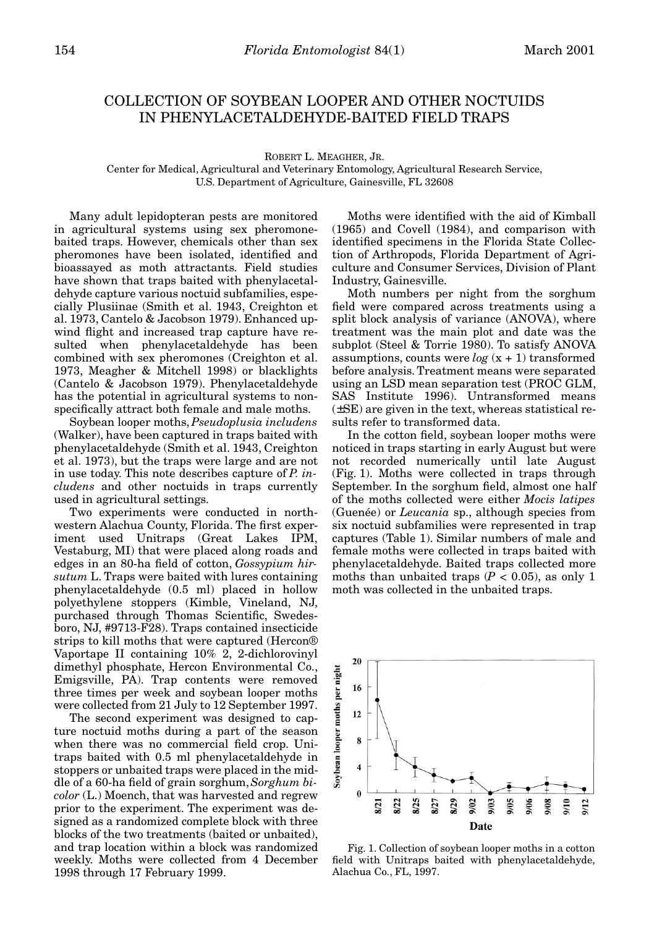## COLLECTION OF SOYBEAN LOOPER AND OTHER NOCTUIDS IN PHENYLACETALDEHYDE-BAITED FIELD TRAPS

ROBERT L. MEAGHER, JR.

Center for Medical, Agricultural and Veterinary Entomology, Agricultural Research Service, U.S. Department of Agriculture, Gainesville, FL 32608

Many adult lepidopteran pests are monitored in agricultural systems using sex pheromonebaited traps. However, chemicals other than sex pheromones have been isolated, identified and bioassayed as moth attractants. Field studies have shown that traps baited with phenylacetaldehyde capture various noctuid subfamilies, especially Plusiinae (Smith et al. 1943, Creighton et al. 1973, Cantelo & Jacobson 1979). Enhanced upwind flight and increased trap capture have resulted when phenylacetaldehyde has been combined with sex pheromones (Creighton et al. 1973, Meagher & Mitchell 1998) or blacklights (Cantelo & Jacobson 1979). Phenylacetaldehyde has the potential in agricultural systems to nonspecifically attract both female and male moths.

Soybean looper moths, *Pseudoplusia includens* (Walker), have been captured in traps baited with phenylacetaldehyde (Smith et al. 1943, Creighton et al. 1973), but the traps were large and are not in use today. This note describes capture of *P. includens* and other noctuids in traps currently used in agricultural settings.

Two experiments were conducted in northwestern Alachua County, Florida. The first experiment used Unitraps (Great Lakes IPM, Vestaburg, MI) that were placed along roads and edges in an 80-ha field of cotton, *Gossypium hirsutum* L. Traps were baited with lures containing phenylacetaldehyde (0.5 ml) placed in hollow polyethylene stoppers (Kimble, Vineland, NJ, purchased through Thomas Scientific, Swedesboro, NJ, #9713-F28). Traps contained insecticide strips to kill moths that were captured (Hercon® Vaportape II containing 10% 2, 2-dichlorovinyl dimethyl phosphate, Hercon Environmental Co., Emigsville, PA). Trap contents were removed three times per week and soybean looper moths were collected from 21 July to 12 September 1997.

The second experiment was designed to capture noctuid moths during a part of the season when there was no commercial field crop. Unitraps baited with 0.5 ml phenylacetaldehyde in stoppers or unbaited traps were placed in the middle of a 60-ha field of grain sorghum, *Sorghum bicolor* (L.) Moench, that was harvested and regrew prior to the experiment. The experiment was designed as a randomized complete block with three blocks of the two treatments (baited or unbaited), and trap location within a block was randomized weekly. Moths were collected from 4 December 1998 through 17 February 1999.

Moths were identified with the aid of Kimball (1965) and Covell (1984), and comparison with identified specimens in the Florida State Collection of Arthropods, Florida Department of Agriculture and Consumer Services, Division of Plant Industry, Gainesville.

Moth numbers per night from the sorghum field were compared across treatments using a split block analysis of variance (ANOVA), where treatment was the main plot and date was the subplot (Steel & Torrie 1980). To satisfy ANOVA assumptions, counts were  $log(x + 1)$  transformed before analysis. Treatment means were separated using an LSD mean separation test (PROC GLM, SAS Institute 1996). Untransformed means (±SE) are given in the text, whereas statistical results refer to transformed data.

In the cotton field, soybean looper moths were noticed in traps starting in early August but were not recorded numerically until late August (Fig. 1). Moths were collected in traps through September. In the sorghum field, almost one half of the moths collected were either *Mocis latipes* (Guenée) or *Leucania* sp., although species from six noctuid subfamilies were represented in trap captures (Table 1). Similar numbers of male and female moths were collected in traps baited with phenylacetaldehyde. Baited traps collected more moths than unbaited traps  $(P < 0.05)$ , as only 1 moth was collected in the unbaited traps.



Fig. 1. Collection of soybean looper moths in a cotton field with Unitraps baited with phenylacetaldehyde, Alachua Co., FL, 1997.